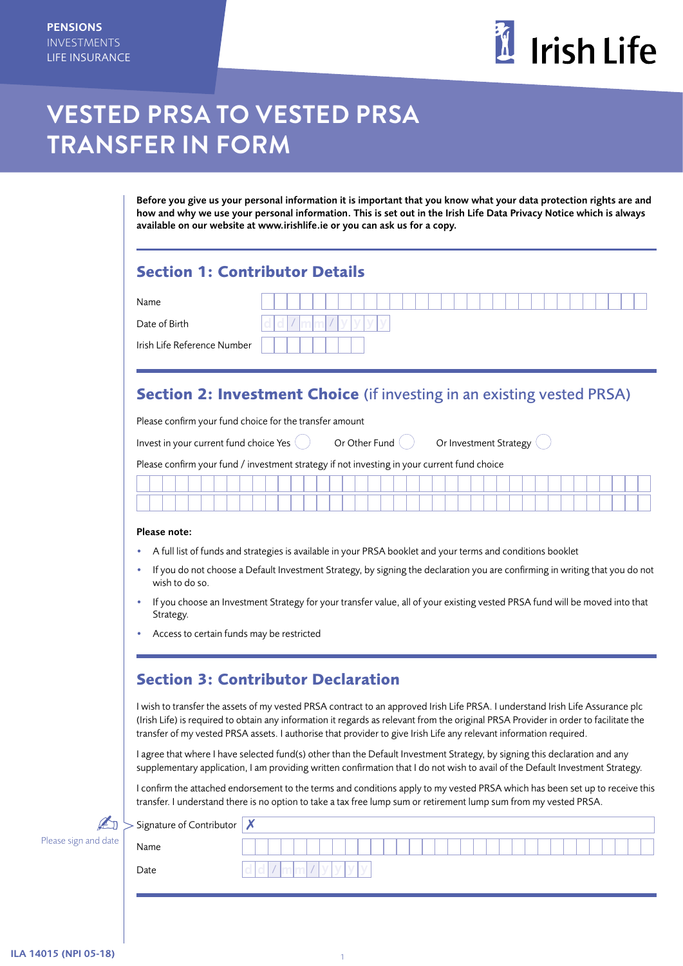

# **VESTED PRSA TO VESTED PRSA TRANSFER IN FORM**

Before you give us your personal information it is important that you know what your data protection rights are and how and why we use your personal information. This is set out in the Irish Life Data Privacy Notice which is always available on our website at [www.irishlife.ie](http://www.irishlife.ie) or you can ask us for a copy.

| I<br>۰.<br>× |  |
|--------------|--|
|--------------|--|

Date of Birth

Irish Life Reference Number

# **Section 2: Investment Choice** (if investing in an existing vested PRSA)

Please confirm your fund choice for the transfer amount

| Invest in your current fund choice Yes |  | Or Other Fund |  |
|----------------------------------------|--|---------------|--|
|----------------------------------------|--|---------------|--|

Or Investment Strategy (

| Please confirm your fund / investment strategy if not investing in your current fund choice |  |
|---------------------------------------------------------------------------------------------|--|
|---------------------------------------------------------------------------------------------|--|

### Please note:

- A full list of funds and strategies is available in your PRSA booklet and your terms and conditions booklet
- If you do not choose a Default Investment Strategy, by signing the declaration you are confirming in writing that you do not wish to do so.
- If you choose an Investment Strategy for your transfer value, all of your existing vested PRSA fund will be moved into that Strategy.
- Access to certain funds may be restricted

## **Section 3: Contributor Declaration**

I wish to transfer the assets of my vested PRSA contract to an approved Irish Life PRSA. I understand Irish Life Assurance plc (Irish Life) is required to obtain any information it regards as relevant from the original PRSA Provider in order to facilitate the transfer of my vested PRSA assets. I authorise that provider to give Irish Life any relevant information required.

I agree that where I have selected fund(s) other than the Default Investment Strategy, by signing this declaration and any supplementary application, I am providing written confirmation that I do not wish to avail of the Default Investment Strategy.

I confirm the attached endorsement to the terms and conditions apply to my vested PRSA which has been set up to receive this transfer. I understand there is no option to take a tax free lump sum or retirement lump sum from my vested PRSA.

|                      | $>$ Signature of Contributor $\vert X \vert$ |  |
|----------------------|----------------------------------------------|--|
| Please sign and date | Name                                         |  |
|                      | Date                                         |  |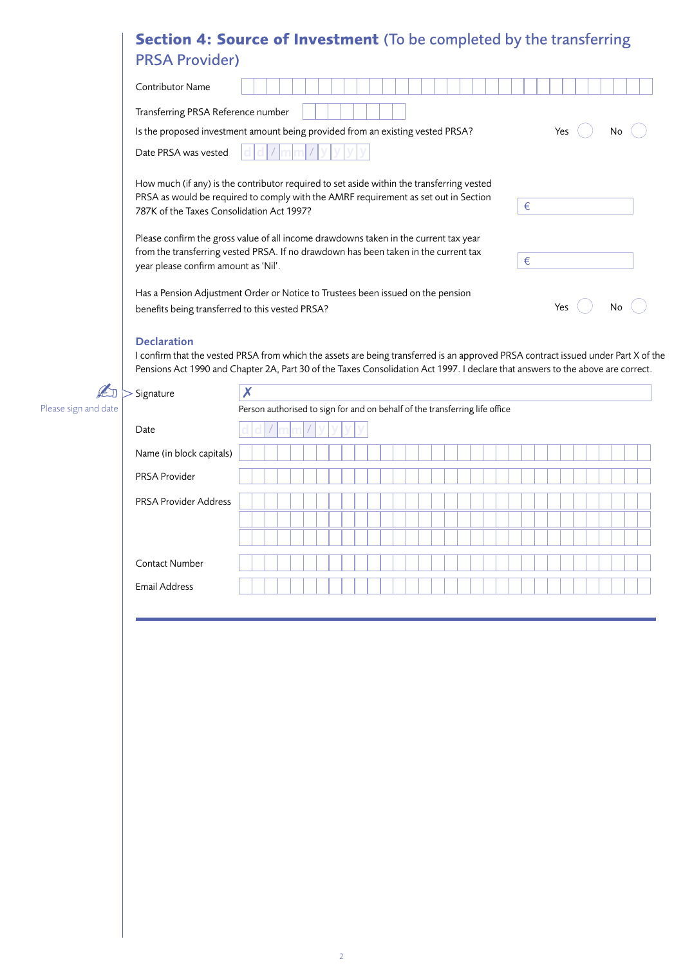|                       | <b>Section 4: Source of Investment</b> (To be completed by the transferring |
|-----------------------|-----------------------------------------------------------------------------|
| <b>PRSA Provider)</b> |                                                                             |

| <b>Contributor Name</b>                                                                                                            |
|------------------------------------------------------------------------------------------------------------------------------------|
| Transferring PRSA Reference number                                                                                                 |
| Is the proposed investment amount being provided from an existing vested PRSA?<br>Yes<br>No                                        |
| Date PRSA was vested                                                                                                               |
| How much (if any) is the contributor required to set aside within the transferring vested                                          |
| PRSA as would be required to comply with the AMRF requirement as set out in Section<br>€                                           |
| 787K of the Taxes Consolidation Act 1997?                                                                                          |
| Please confirm the gross value of all income drawdowns taken in the current tax year                                               |
| from the transferring vested PRSA. If no drawdown has been taken in the current tax<br>€<br>year please confirm amount as 'Nil'.   |
|                                                                                                                                    |
| Has a Pension Adjustment Order or Notice to Trustees been issued on the pension                                                    |
| Yes<br>N٥<br>benefits being transferred to this vested PRSA?                                                                       |
| <b>Declaration</b>                                                                                                                 |
| I confirm that the vested PRSA from which the assets are being transferred is an approved PRSA contract issued under Part X of the |
| Pensions Act 1990 and Chapter 2A, Part 30 of the Taxes Consolidation Act 1997. I declare that answers to the above are correct.    |
| Signature                                                                                                                          |

|  |  |  |  | Please sign and date |
|--|--|--|--|----------------------|
|--|--|--|--|----------------------|

 $\mathbb{A}$ 

# Person authorised to sign for and on behalf of the transferring life office Date  $\left| d \right| d / \left| m \right| / \left| y \right| y$  y Name (in block capitals) PRSA Provider PRSA Provider Address Contact Number Email Address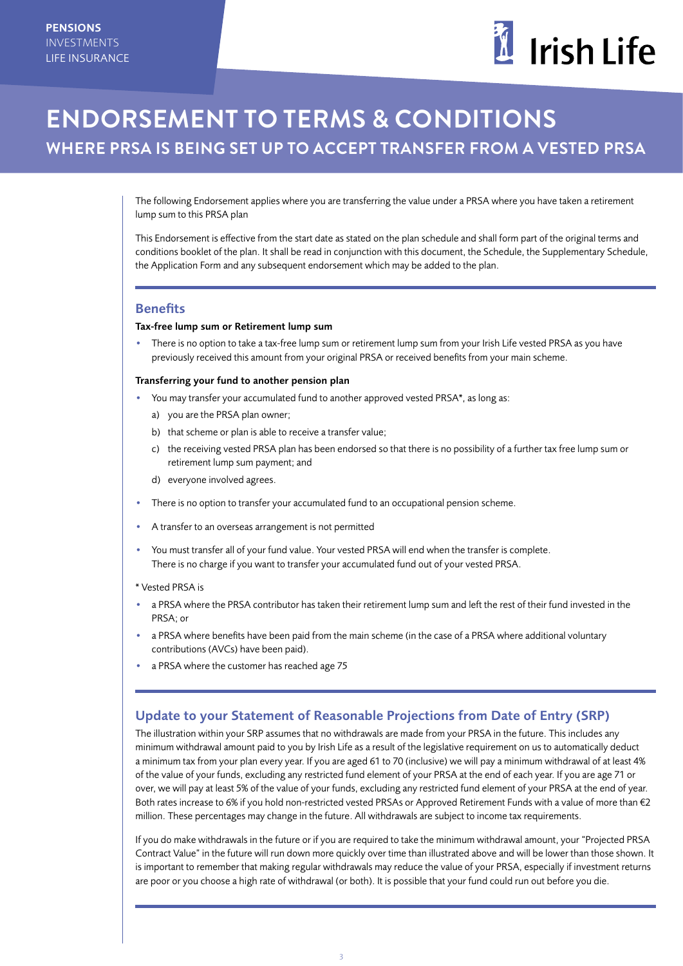

# **ENDORSEMENT TO TERMS & CONDITIONS**

**WHERE PRSA IS BEING SET UP TO ACCEPT TRANSFER FROM A VESTED PRSA**

The following Endorsement applies where you are transferring the value under a PRSA where you have taken a retirement lump sum to this PRSA plan

This Endorsement is effective from the start date as stated on the plan schedule and shall form part of the original terms and conditions booklet of the plan. It shall be read in conjunction with this document, the Schedule, the Supplementary Schedule, the Application Form and any subsequent endorsement which may be added to the plan.

### **Benefits**

#### Tax-free lump sum or Retirement lump sum

There is no option to take a tax-free lump sum or retirement lump sum from your Irish Life vested PRSA as you have previously received this amount from your original PRSA or received benefits from your main scheme.

### Transferring your fund to another pension plan

- You may transfer your accumulated fund to another approved vested PRSA\*, as long as:
	- a) you are the PRSA plan owner;
	- b) that scheme or plan is able to receive a transfer value;
	- c) the receiving vested PRSA plan has been endorsed so that there is no possibility of a further tax free lump sum or retirement lump sum payment; and
	- d) everyone involved agrees.
- There is no option to transfer your accumulated fund to an occupational pension scheme.
- A transfer to an overseas arrangement is not permitted
- You must transfer all of your fund value. Your vested PRSA will end when the transfer is complete. There is no charge if you want to transfer your accumulated fund out of your vested PRSA.

#### \* Vested PRSA is

- a PRSA where the PRSA contributor has taken their retirement lump sum and left the rest of their fund invested in the PRSA; or
- a PRSA where benefits have been paid from the main scheme (in the case of a PRSA where additional voluntary contributions (AVCs) have been paid).
- a PRSA where the customer has reached age 75

## Update to your Statement of Reasonable Projections from Date of Entry (SRP)

The illustration within your SRP assumes that no withdrawals are made from your PRSA in the future. This includes any minimum withdrawal amount paid to you by Irish Life as a result of the legislative requirement on us to automatically deduct a minimum tax from your plan every year. If you are aged 61 to 70 (inclusive) we will pay a minimum withdrawal of at least 4% of the value of your funds, excluding any restricted fund element of your PRSA at the end of each year. If you are age 71 or over, we will pay at least 5% of the value of your funds, excluding any restricted fund element of your PRSA at the end of year. Both rates increase to 6% if you hold non-restricted vested PRSAs or Approved Retirement Funds with a value of more than €2 million. These percentages may change in the future. All withdrawals are subject to income tax requirements.

If you do make withdrawals in the future or if you are required to take the minimum withdrawal amount, your "Projected PRSA Contract Value" in the future will run down more quickly over time than illustrated above and will be lower than those shown. It is important to remember that making regular withdrawals may reduce the value of your PRSA, especially if investment returns are poor or you choose a high rate of withdrawal (or both). It is possible that your fund could run out before you die.